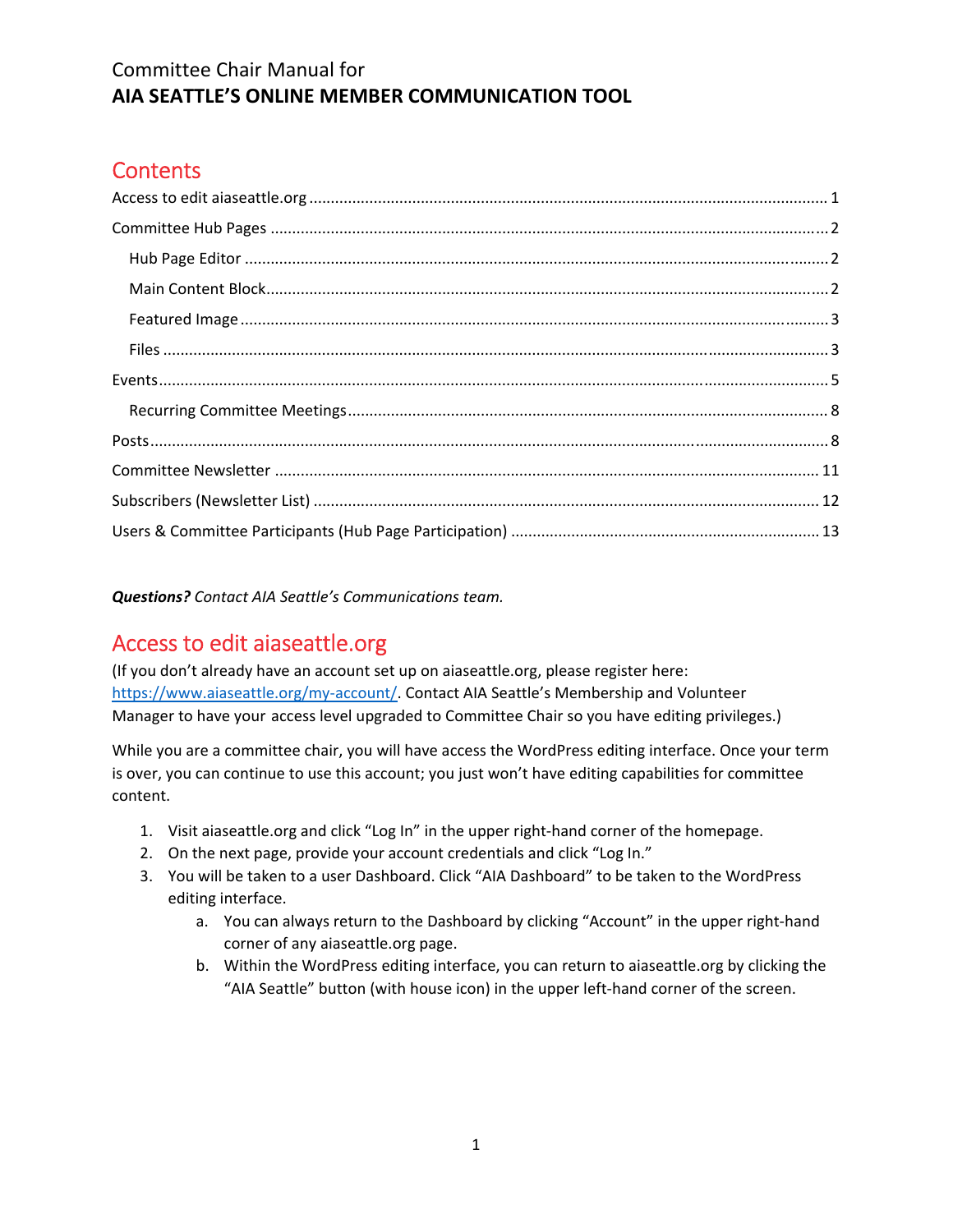# **Contents**

*Questions? Contact AIA Seattle's Communications team.*

# Access to edit aiaseattle.org

(If you don't already have an account set up on aiaseattle.org, please register here: https://www.aiaseattle.org/my-account/. Contact AIA Seattle's Membership and Volunteer Manager to have your access level upgraded to Committee Chair so you have editing privileges.)

While you are a committee chair, you will have access the WordPress editing interface. Once your term is over, you can continue to use this account; you just won't have editing capabilities for committee content.

- 1. Visit aiaseattle.org and click "Log In" in the upper right‐hand corner of the homepage.
- 2. On the next page, provide your account credentials and click "Log In."
- 3. You will be taken to a user Dashboard. Click "AIA Dashboard" to be taken to the WordPress editing interface.
	- a. You can always return to the Dashboard by clicking "Account" in the upper right‐hand corner of any aiaseattle.org page.
	- b. Within the WordPress editing interface, you can return to aiaseattle.org by clicking the "AIA Seattle" button (with house icon) in the upper left‐hand corner of the screen.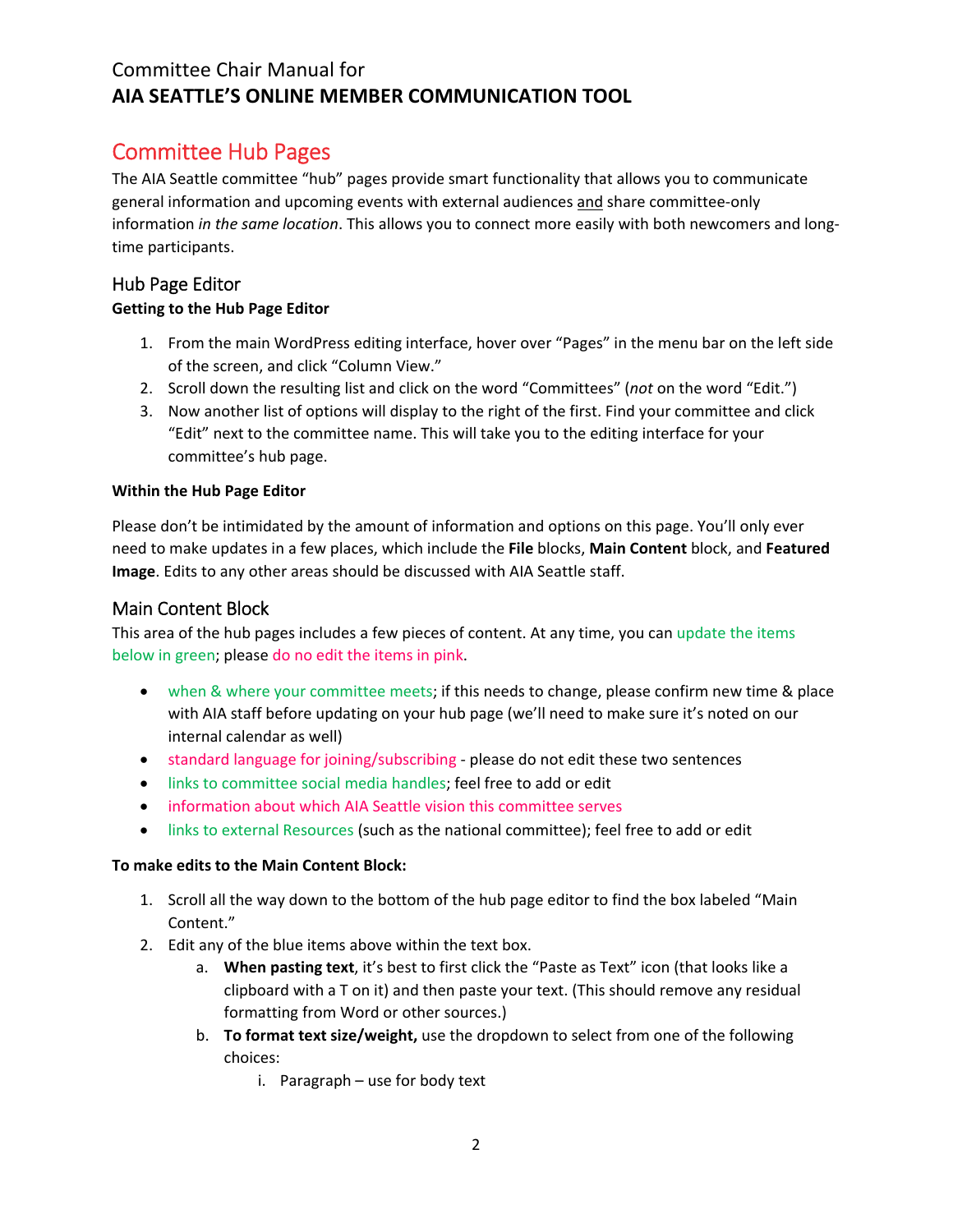# Committee Hub Pages

The AIA Seattle committee "hub" pages provide smart functionality that allows you to communicate general information and upcoming events with external audiences and share committee-only information *in the same location*. This allows you to connect more easily with both newcomers and long‐ time participants.

### Hub Page Editor

### **Getting to the Hub Page Editor**

- 1. From the main WordPress editing interface, hover over "Pages" in the menu bar on the left side of the screen, and click "Column View."
- 2. Scroll down the resulting list and click on the word "Committees" (*not* on the word "Edit.")
- 3. Now another list of options will display to the right of the first. Find your committee and click "Edit" next to the committee name. This will take you to the editing interface for your committee's hub page.

### **Within the Hub Page Editor**

Please don't be intimidated by the amount of information and options on this page. You'll only ever need to make updates in a few places, which include the **File** blocks, **Main Content** block, and **Featured Image**. Edits to any other areas should be discussed with AIA Seattle staff.

### Main Content Block

This area of the hub pages includes a few pieces of content. At any time, you can update the items below in green; please do no edit the items in pink.

- when & where your committee meets; if this needs to change, please confirm new time & place with AIA staff before updating on your hub page (we'll need to make sure it's noted on our internal calendar as well)
- standard language for joining/subscribing please do not edit these two sentences
- links to committee social media handles; feel free to add or edit
- information about which AIA Seattle vision this committee serves
- links to external Resources (such as the national committee); feel free to add or edit

### **To make edits to the Main Content Block:**

- 1. Scroll all the way down to the bottom of the hub page editor to find the box labeled "Main Content."
- 2. Edit any of the blue items above within the text box.
	- a. **When pasting text**, it's best to first click the "Paste as Text" icon (that looks like a clipboard with a T on it) and then paste your text. (This should remove any residual formatting from Word or other sources.)
	- b. **To format text size/weight,** use the dropdown to select from one of the following choices:
		- i. Paragraph use for body text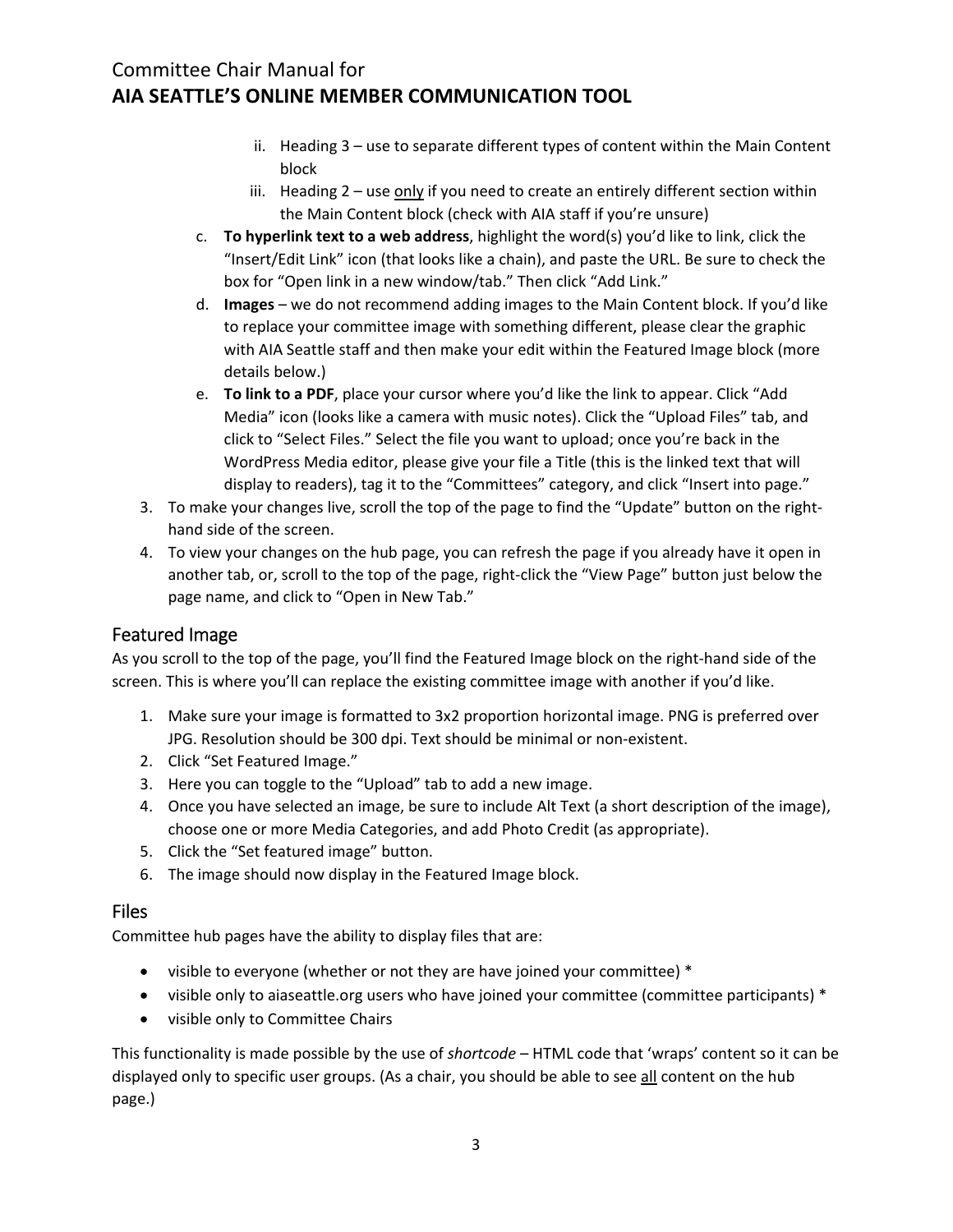- ii. Heading 3 use to separate different types of content within the Main Content block
- iii. Heading 2 use only if you need to create an entirely different section within the Main Content block (check with AIA staff if you're unsure)
- c. **To hyperlink text to a web address**, highlight the word(s) you'd like to link, click the "Insert/Edit Link" icon (that looks like a chain), and paste the URL. Be sure to check the box for "Open link in a new window/tab." Then click "Add Link."
- d. **Images** we do not recommend adding images to the Main Content block. If you'd like to replace your committee image with something different, please clear the graphic with AIA Seattle staff and then make your edit within the Featured Image block (more details below.)
- e. **To link to a PDF**, place your cursor where you'd like the link to appear. Click "Add Media" icon (looks like a camera with music notes). Click the "Upload Files" tab, and click to "Select Files." Select the file you want to upload; once you're back in the WordPress Media editor, please give your file a Title (this is the linked text that will display to readers), tag it to the "Committees" category, and click "Insert into page."
- 3. To make your changes live, scroll the top of the page to find the "Update" button on the right‐ hand side of the screen.
- 4. To view your changes on the hub page, you can refresh the page if you already have it open in another tab, or, scroll to the top of the page, right‐click the "View Page" button just below the page name, and click to "Open in New Tab."

### Featured Image

As you scroll to the top of the page, you'll find the Featured Image block on the right‐hand side of the screen. This is where you'll can replace the existing committee image with another if you'd like.

- 1. Make sure your image is formatted to 3x2 proportion horizontal image. PNG is preferred over JPG. Resolution should be 300 dpi. Text should be minimal or non‐existent.
- 2. Click "Set Featured Image."
- 3. Here you can toggle to the "Upload" tab to add a new image.
- 4. Once you have selected an image, be sure to include Alt Text (a short description of the image), choose one or more Media Categories, and add Photo Credit (as appropriate).
- 5. Click the "Set featured image" button.
- 6. The image should now display in the Featured Image block.

### Files

Committee hub pages have the ability to display files that are:

- visible to everyone (whether or not they are have joined your committee)  $*$
- visible only to aiaseattle.org users who have joined your committee (committee participants) \*
- visible only to Committee Chairs

This functionality is made possible by the use of *shortcode* – HTML code that 'wraps' content so it can be displayed only to specific user groups. (As a chair, you should be able to see all content on the hub page.)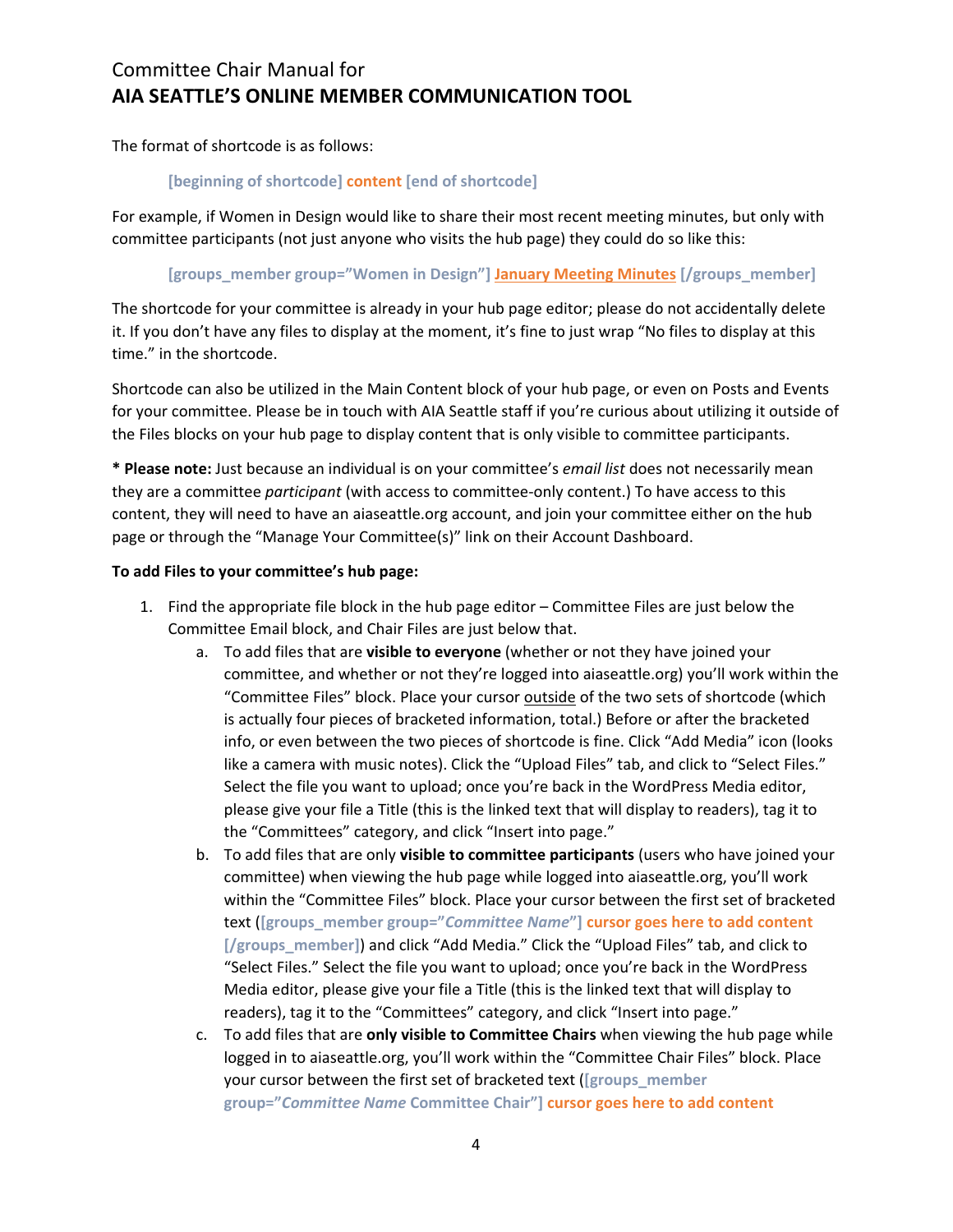The format of shortcode is as follows:

#### **[beginning of shortcode] content [end of shortcode]**

For example, if Women in Design would like to share their most recent meeting minutes, but only with committee participants (not just anyone who visits the hub page) they could do so like this:

#### **[groups\_member group="Women in Design"] January Meeting Minutes [/groups\_member]**

The shortcode for your committee is already in your hub page editor; please do not accidentally delete it. If you don't have any files to display at the moment, it's fine to just wrap "No files to display at this time." in the shortcode.

Shortcode can also be utilized in the Main Content block of your hub page, or even on Posts and Events for your committee. Please be in touch with AIA Seattle staff if you're curious about utilizing it outside of the Files blocks on your hub page to display content that is only visible to committee participants.

**\* Please note:** Just because an individual is on your committee's *email list* does not necessarily mean they are a committee *participant* (with access to committee‐only content.) To have access to this content, they will need to have an aiaseattle.org account, and join your committee either on the hub page or through the "Manage Your Committee(s)" link on their Account Dashboard.

#### **To add Files to your committee's hub page:**

- 1. Find the appropriate file block in the hub page editor Committee Files are just below the Committee Email block, and Chair Files are just below that.
	- a. To add files that are **visible to everyone** (whether or not they have joined your committee, and whether or not they're logged into aiaseattle.org) you'll work within the "Committee Files" block. Place your cursor outside of the two sets of shortcode (which is actually four pieces of bracketed information, total.) Before or after the bracketed info, or even between the two pieces of shortcode is fine. Click "Add Media" icon (looks like a camera with music notes). Click the "Upload Files" tab, and click to "Select Files." Select the file you want to upload; once you're back in the WordPress Media editor, please give your file a Title (this is the linked text that will display to readers), tag it to the "Committees" category, and click "Insert into page."
	- b. To add files that are only **visible to committee participants** (users who have joined your committee) when viewing the hub page while logged into aiaseattle.org, you'll work within the "Committee Files" block. Place your cursor between the first set of bracketed text (**[groups\_member group="***Committee Name***"] cursor goes here to add content [/groups\_member]**) and click "Add Media." Click the "Upload Files" tab, and click to "Select Files." Select the file you want to upload; once you're back in the WordPress Media editor, please give your file a Title (this is the linked text that will display to readers), tag it to the "Committees" category, and click "Insert into page."
	- c. To add files that are **only visible to Committee Chairs** when viewing the hub page while logged in to aiaseattle.org, you'll work within the "Committee Chair Files" block. Place your cursor between the first set of bracketed text (**[groups\_member group="***Committee Name* **Committee Chair"] cursor goes here to add content**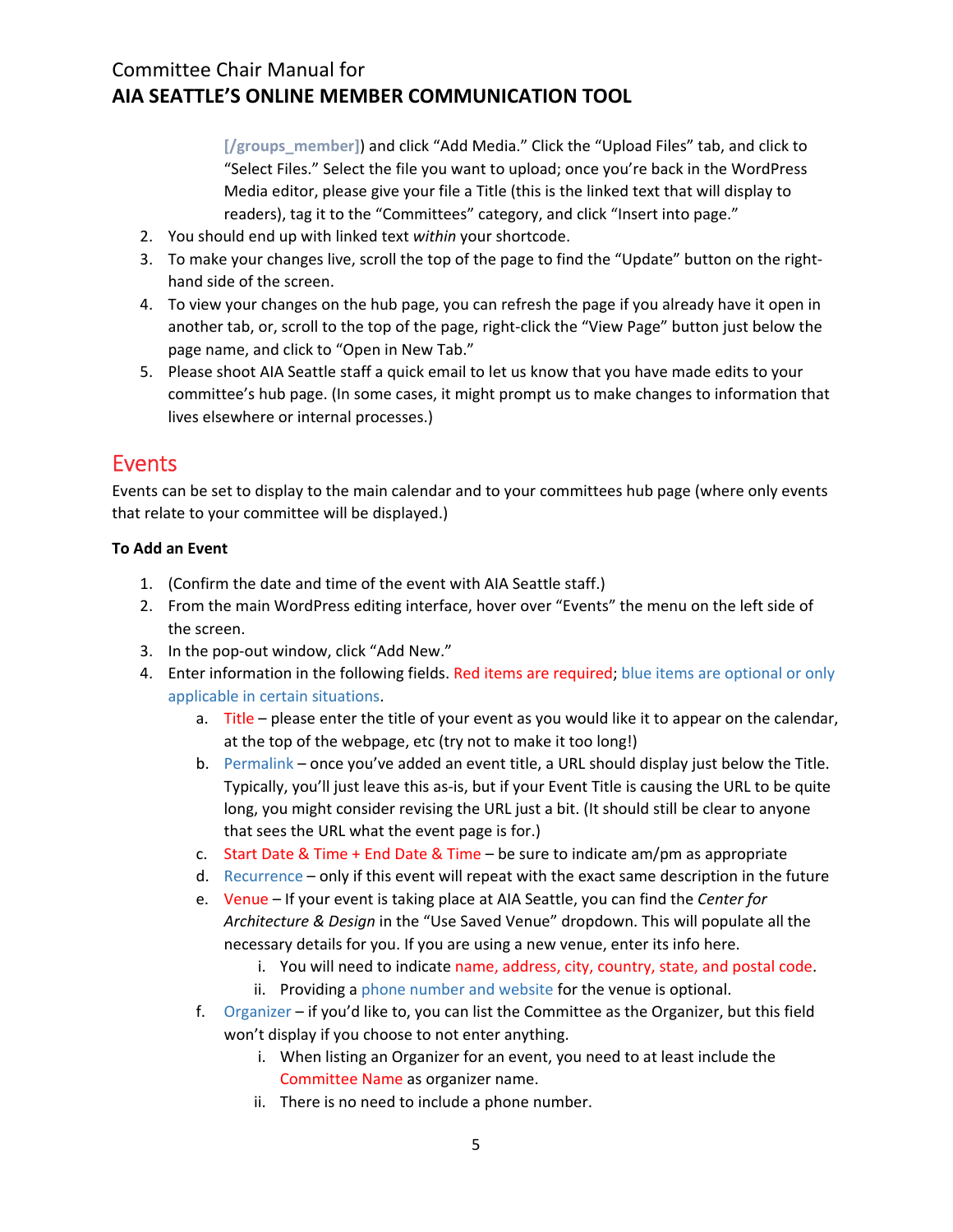**[/groups\_member]**) and click "Add Media." Click the "Upload Files" tab, and click to "Select Files." Select the file you want to upload; once you're back in the WordPress Media editor, please give your file a Title (this is the linked text that will display to readers), tag it to the "Committees" category, and click "Insert into page."

- 2. You should end up with linked text *within* your shortcode.
- 3. To make your changes live, scroll the top of the page to find the "Update" button on the right‐ hand side of the screen.
- 4. To view your changes on the hub page, you can refresh the page if you already have it open in another tab, or, scroll to the top of the page, right‐click the "View Page" button just below the page name, and click to "Open in New Tab."
- 5. Please shoot AIA Seattle staff a quick email to let us know that you have made edits to your committee's hub page. (In some cases, it might prompt us to make changes to information that lives elsewhere or internal processes.)

## Events

Events can be set to display to the main calendar and to your committees hub page (where only events that relate to your committee will be displayed.)

### **To Add an Event**

- 1. (Confirm the date and time of the event with AIA Seattle staff.)
- 2. From the main WordPress editing interface, hover over "Events" the menu on the left side of the screen.
- 3. In the pop‐out window, click "Add New."
- 4. Enter information in the following fields. Red items are required; blue items are optional or only applicable in certain situations.
	- a. Title please enter the title of your event as you would like it to appear on the calendar, at the top of the webpage, etc (try not to make it too long!)
	- b. Permalink once you've added an event title, a URL should display just below the Title. Typically, you'll just leave this as‐is, but if your Event Title is causing the URL to be quite long, you might consider revising the URL just a bit. (It should still be clear to anyone that sees the URL what the event page is for.)
	- c. Start Date & Time + End Date & Time be sure to indicate am/pm as appropriate
	- d. Recurrence only if this event will repeat with the exact same description in the future
	- e. Venue If your event is taking place at AIA Seattle, you can find the *Center for Architecture & Design* in the "Use Saved Venue" dropdown. This will populate all the necessary details for you. If you are using a new venue, enter its info here.
		- i. You will need to indicate name, address, city, country, state, and postal code.
		- ii. Providing a phone number and website for the venue is optional.
	- f. Organizer if you'd like to, you can list the Committee as the Organizer, but this field won't display if you choose to not enter anything.
		- i. When listing an Organizer for an event, you need to at least include the Committee Name as organizer name.
		- ii. There is no need to include a phone number.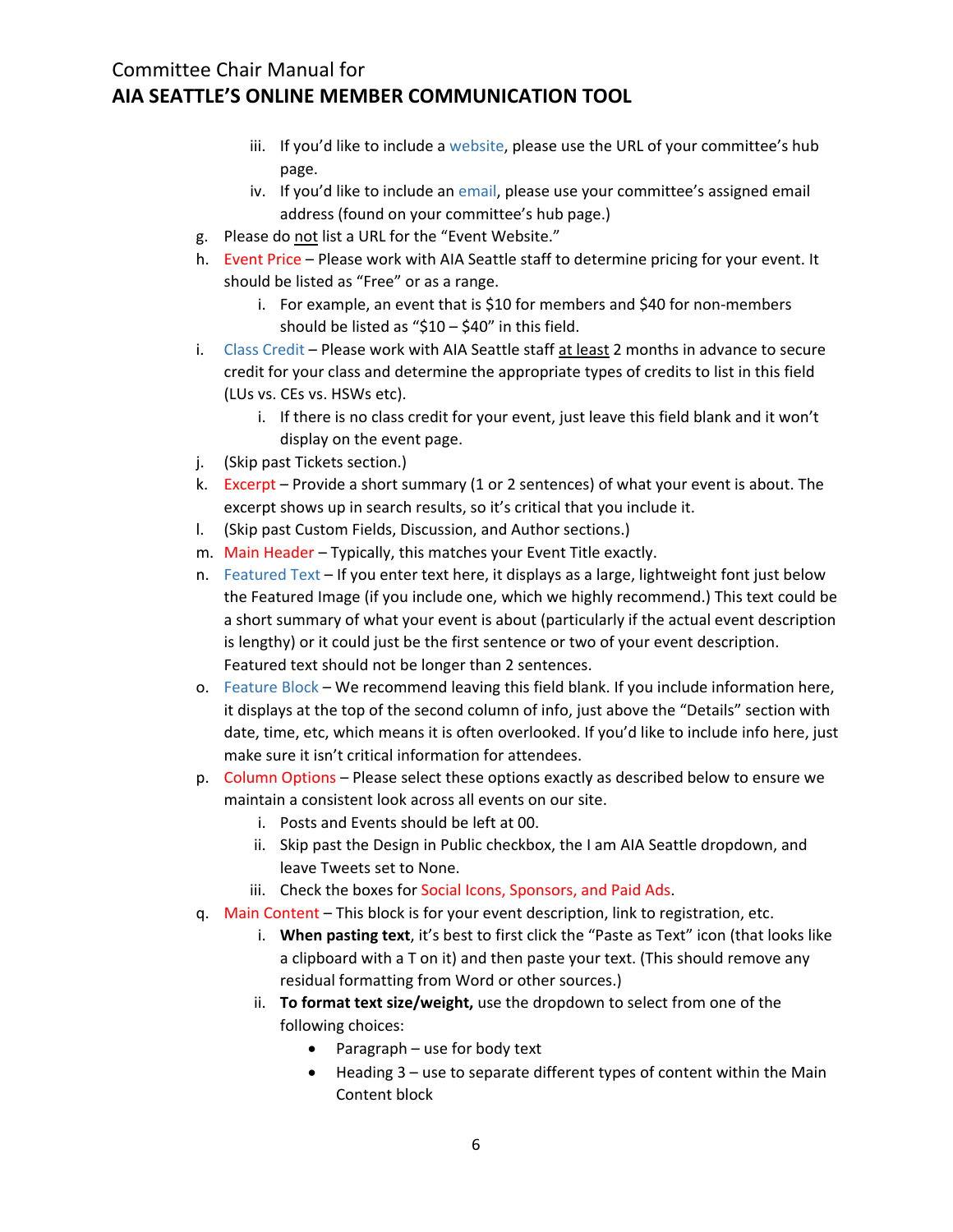- iii. If you'd like to include a website, please use the URL of your committee's hub page.
- iv. If you'd like to include an email, please use your committee's assigned email address (found on your committee's hub page.)
- g. Please do not list a URL for the "Event Website."
- h. Event Price Please work with AIA Seattle staff to determine pricing for your event. It should be listed as "Free" or as a range.
	- i. For example, an event that is \$10 for members and \$40 for non-members should be listed as "\$10 – \$40" in this field.
- i. Class Credit Please work with AIA Seattle staff at least 2 months in advance to secure credit for your class and determine the appropriate types of credits to list in this field (LUs vs. CEs vs. HSWs etc).
	- i. If there is no class credit for your event, just leave this field blank and it won't display on the event page.
- j. (Skip past Tickets section.)
- k. Excerpt Provide a short summary (1 or 2 sentences) of what your event is about. The excerpt shows up in search results, so it's critical that you include it.
- l. (Skip past Custom Fields, Discussion, and Author sections.)
- m. Main Header Typically, this matches your Event Title exactly.
- n. Featured Text If you enter text here, it displays as a large, lightweight font just below the Featured Image (if you include one, which we highly recommend.) This text could be a short summary of what your event is about (particularly if the actual event description is lengthy) or it could just be the first sentence or two of your event description. Featured text should not be longer than 2 sentences.
- o. Feature Block We recommend leaving this field blank. If you include information here, it displays at the top of the second column of info, just above the "Details" section with date, time, etc, which means it is often overlooked. If you'd like to include info here, just make sure it isn't critical information for attendees.
- p. Column Options Please select these options exactly as described below to ensure we maintain a consistent look across all events on our site.
	- i. Posts and Events should be left at 00.
	- ii. Skip past the Design in Public checkbox, the I am AIA Seattle dropdown, and leave Tweets set to None.
	- iii. Check the boxes for Social Icons, Sponsors, and Paid Ads.
- q. Main Content This block is for your event description, link to registration, etc.
	- i. **When pasting text**, it's best to first click the "Paste as Text" icon (that looks like a clipboard with a T on it) and then paste your text. (This should remove any residual formatting from Word or other sources.)
	- ii. **To format text size/weight,** use the dropdown to select from one of the following choices:
		- Paragraph use for body text
		- $\bullet$  Heading 3 use to separate different types of content within the Main Content block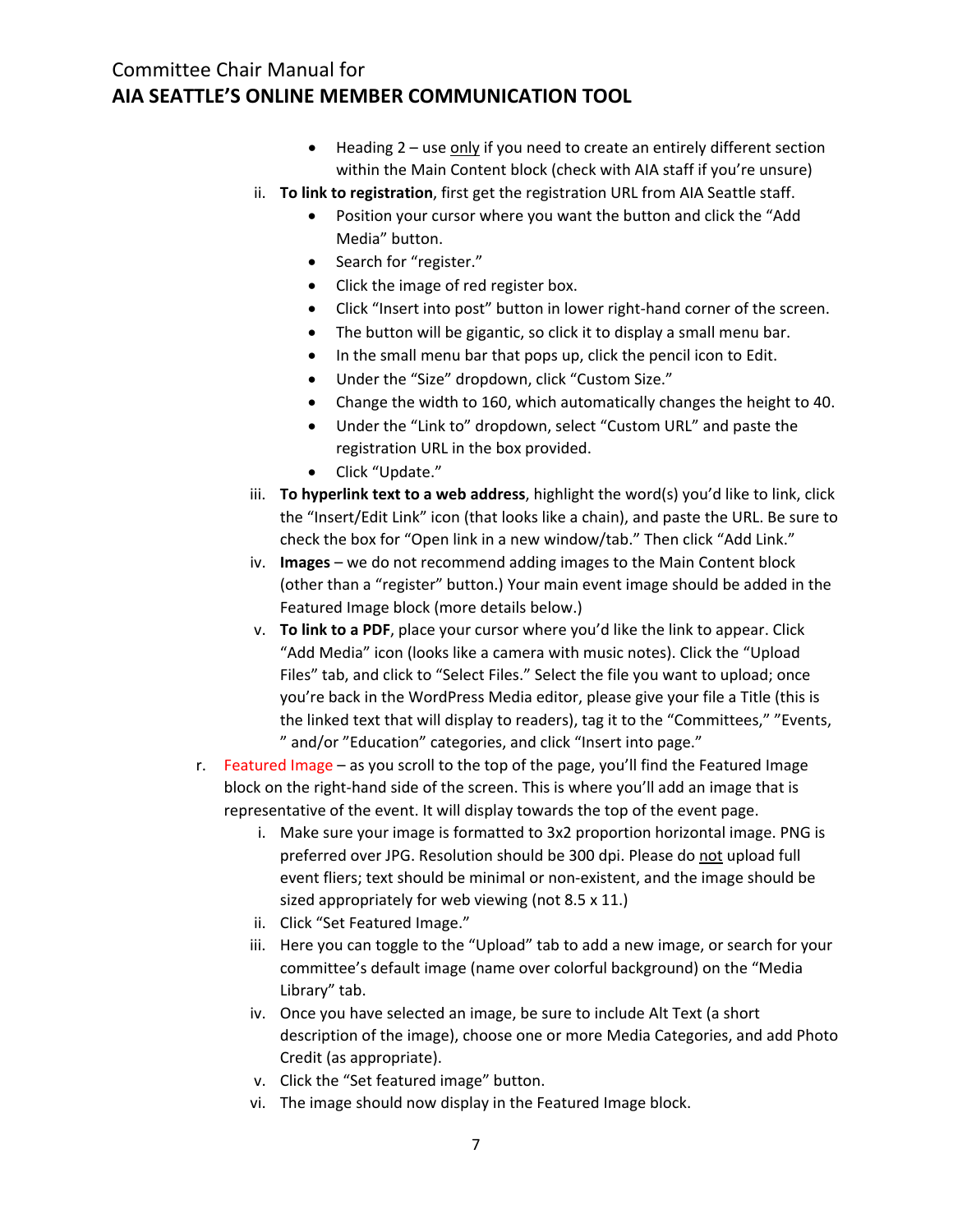- $\bullet$  Heading 2 use only if you need to create an entirely different section within the Main Content block (check with AIA staff if you're unsure)
- ii. **To link to registration**, first get the registration URL from AIA Seattle staff.
	- Position your cursor where you want the button and click the "Add Media" button.
	- Search for "register."
	- Click the image of red register box.
	- Click "Insert into post" button in lower right‐hand corner of the screen.
	- The button will be gigantic, so click it to display a small menu bar.
	- In the small menu bar that pops up, click the pencil icon to Edit.
	- Under the "Size" dropdown, click "Custom Size."
	- Change the width to 160, which automatically changes the height to 40.
	- Under the "Link to" dropdown, select "Custom URL" and paste the registration URL in the box provided.
	- Click "Update."
- iii. **To hyperlink text to a web address**, highlight the word(s) you'd like to link, click the "Insert/Edit Link" icon (that looks like a chain), and paste the URL. Be sure to check the box for "Open link in a new window/tab." Then click "Add Link."
- iv. **Images** we do not recommend adding images to the Main Content block (other than a "register" button.) Your main event image should be added in the Featured Image block (more details below.)
- v. **To link to a PDF**, place your cursor where you'd like the link to appear. Click "Add Media" icon (looks like a camera with music notes). Click the "Upload Files" tab, and click to "Select Files." Select the file you want to upload; once you're back in the WordPress Media editor, please give your file a Title (this is the linked text that will display to readers), tag it to the "Committees," "Events, " and/or "Education" categories, and click "Insert into page."
- r. Featured Image as you scroll to the top of the page, you'll find the Featured Image block on the right‐hand side of the screen. This is where you'll add an image that is representative of the event. It will display towards the top of the event page.
	- i. Make sure your image is formatted to 3x2 proportion horizontal image. PNG is preferred over JPG. Resolution should be 300 dpi. Please do not upload full event fliers; text should be minimal or non-existent, and the image should be sized appropriately for web viewing (not 8.5 x 11.)
	- ii. Click "Set Featured Image."
	- iii. Here you can toggle to the "Upload" tab to add a new image, or search for your committee's default image (name over colorful background) on the "Media Library" tab.
	- iv. Once you have selected an image, be sure to include Alt Text (a short description of the image), choose one or more Media Categories, and add Photo Credit (as appropriate).
	- v. Click the "Set featured image" button.
	- vi. The image should now display in the Featured Image block.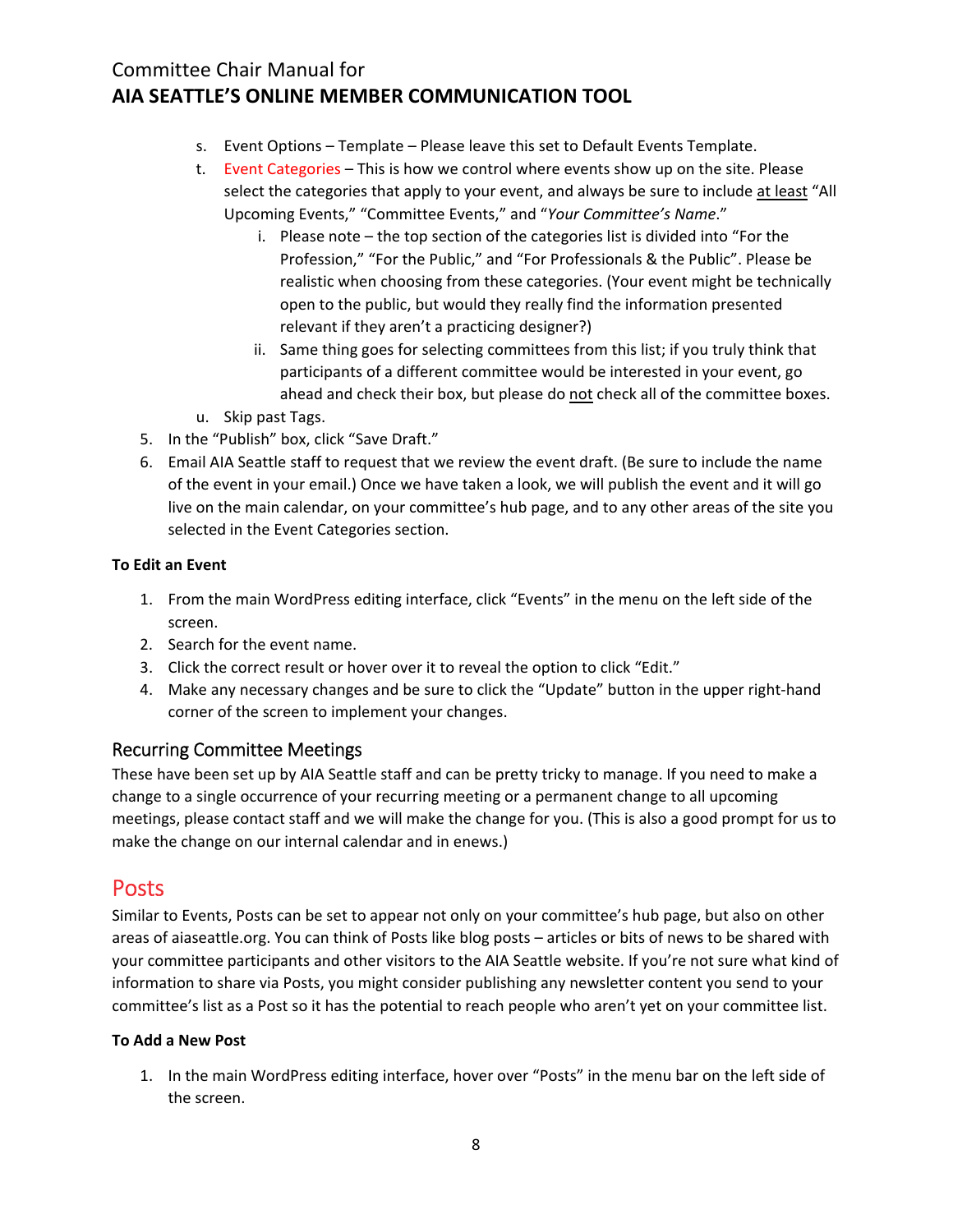- s. Event Options Template Please leave this set to Default Events Template.
- t. Event Categories This is how we control where events show up on the site. Please select the categories that apply to your event, and always be sure to include at least "All Upcoming Events," "Committee Events," and "*Your Committee's Name*."
	- i. Please note the top section of the categories list is divided into "For the Profession," "For the Public," and "For Professionals & the Public". Please be realistic when choosing from these categories. (Your event might be technically open to the public, but would they really find the information presented relevant if they aren't a practicing designer?)
	- ii. Same thing goes for selecting committees from this list; if you truly think that participants of a different committee would be interested in your event, go ahead and check their box, but please do not check all of the committee boxes.
- u. Skip past Tags.
- 5. In the "Publish" box, click "Save Draft."
- 6. Email AIA Seattle staff to request that we review the event draft. (Be sure to include the name of the event in your email.) Once we have taken a look, we will publish the event and it will go live on the main calendar, on your committee's hub page, and to any other areas of the site you selected in the Event Categories section.

#### **To Edit an Event**

- 1. From the main WordPress editing interface, click "Events" in the menu on the left side of the screen.
- 2. Search for the event name.
- 3. Click the correct result or hover over it to reveal the option to click "Edit."
- 4. Make any necessary changes and be sure to click the "Update" button in the upper right-hand corner of the screen to implement your changes.

#### Recurring Committee Meetings

These have been set up by AIA Seattle staff and can be pretty tricky to manage. If you need to make a change to a single occurrence of your recurring meeting or a permanent change to all upcoming meetings, please contact staff and we will make the change for you. (This is also a good prompt for us to make the change on our internal calendar and in enews.)

### Posts

Similar to Events, Posts can be set to appear not only on your committee's hub page, but also on other areas of aiaseattle.org. You can think of Posts like blog posts – articles or bits of news to be shared with your committee participants and other visitors to the AIA Seattle website. If you're not sure what kind of information to share via Posts, you might consider publishing any newsletter content you send to your committee's list as a Post so it has the potential to reach people who aren't yet on your committee list.

#### **To Add a New Post**

1. In the main WordPress editing interface, hover over "Posts" in the menu bar on the left side of the screen.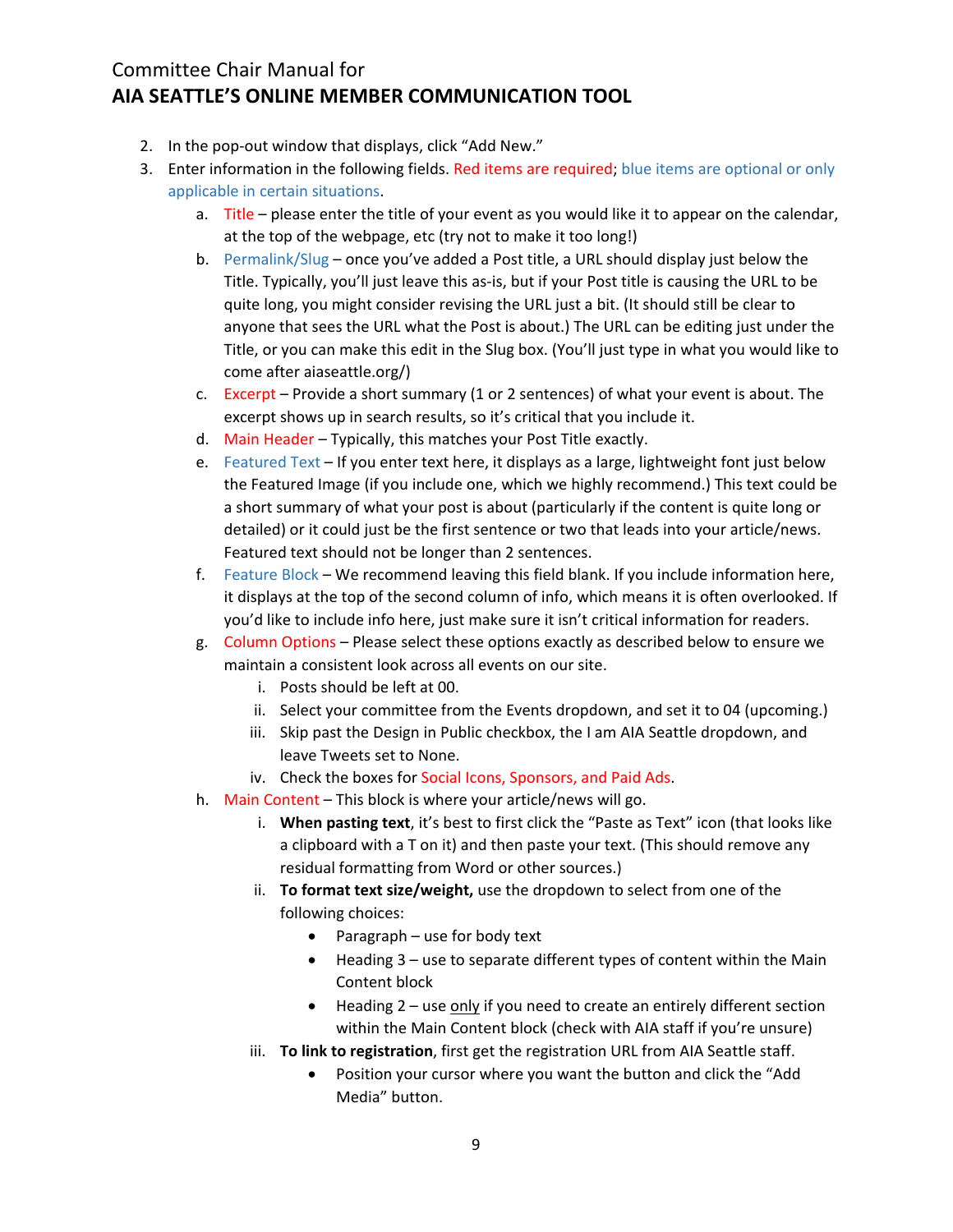- 2. In the pop-out window that displays, click "Add New."
- 3. Enter information in the following fields. Red items are required; blue items are optional or only applicable in certain situations.
	- a. Title please enter the title of your event as you would like it to appear on the calendar, at the top of the webpage, etc (try not to make it too long!)
	- b. Permalink/Slug once you've added a Post title, a URL should display just below the Title. Typically, you'll just leave this as-is, but if your Post title is causing the URL to be quite long, you might consider revising the URL just a bit. (It should still be clear to anyone that sees the URL what the Post is about.) The URL can be editing just under the Title, or you can make this edit in the Slug box. (You'll just type in what you would like to come after aiaseattle.org/)
	- c. Excerpt Provide a short summary (1 or 2 sentences) of what your event is about. The excerpt shows up in search results, so it's critical that you include it.
	- d. Main Header Typically, this matches your Post Title exactly.
	- e. Featured Text If you enter text here, it displays as a large, lightweight font just below the Featured Image (if you include one, which we highly recommend.) This text could be a short summary of what your post is about (particularly if the content is quite long or detailed) or it could just be the first sentence or two that leads into your article/news. Featured text should not be longer than 2 sentences.
	- f. Feature Block We recommend leaving this field blank. If you include information here, it displays at the top of the second column of info, which means it is often overlooked. If you'd like to include info here, just make sure it isn't critical information for readers.
	- g. Column Options Please select these options exactly as described below to ensure we maintain a consistent look across all events on our site.
		- i. Posts should be left at 00.
		- ii. Select your committee from the Events dropdown, and set it to 04 (upcoming.)
		- iii. Skip past the Design in Public checkbox, the I am AIA Seattle dropdown, and leave Tweets set to None.
		- iv. Check the boxes for Social Icons, Sponsors, and Paid Ads.
	- h. Main Content This block is where your article/news will go.
		- i. **When pasting text**, it's best to first click the "Paste as Text" icon (that looks like a clipboard with a T on it) and then paste your text. (This should remove any residual formatting from Word or other sources.)
		- ii. **To format text size/weight,** use the dropdown to select from one of the following choices:
			- Paragraph use for body text
			- Heading 3 use to separate different types of content within the Main Content block
			- $\bullet$  Heading 2 use only if you need to create an entirely different section within the Main Content block (check with AIA staff if you're unsure)
		- iii. **To link to registration**, first get the registration URL from AIA Seattle staff.
			- Position your cursor where you want the button and click the "Add Media" button.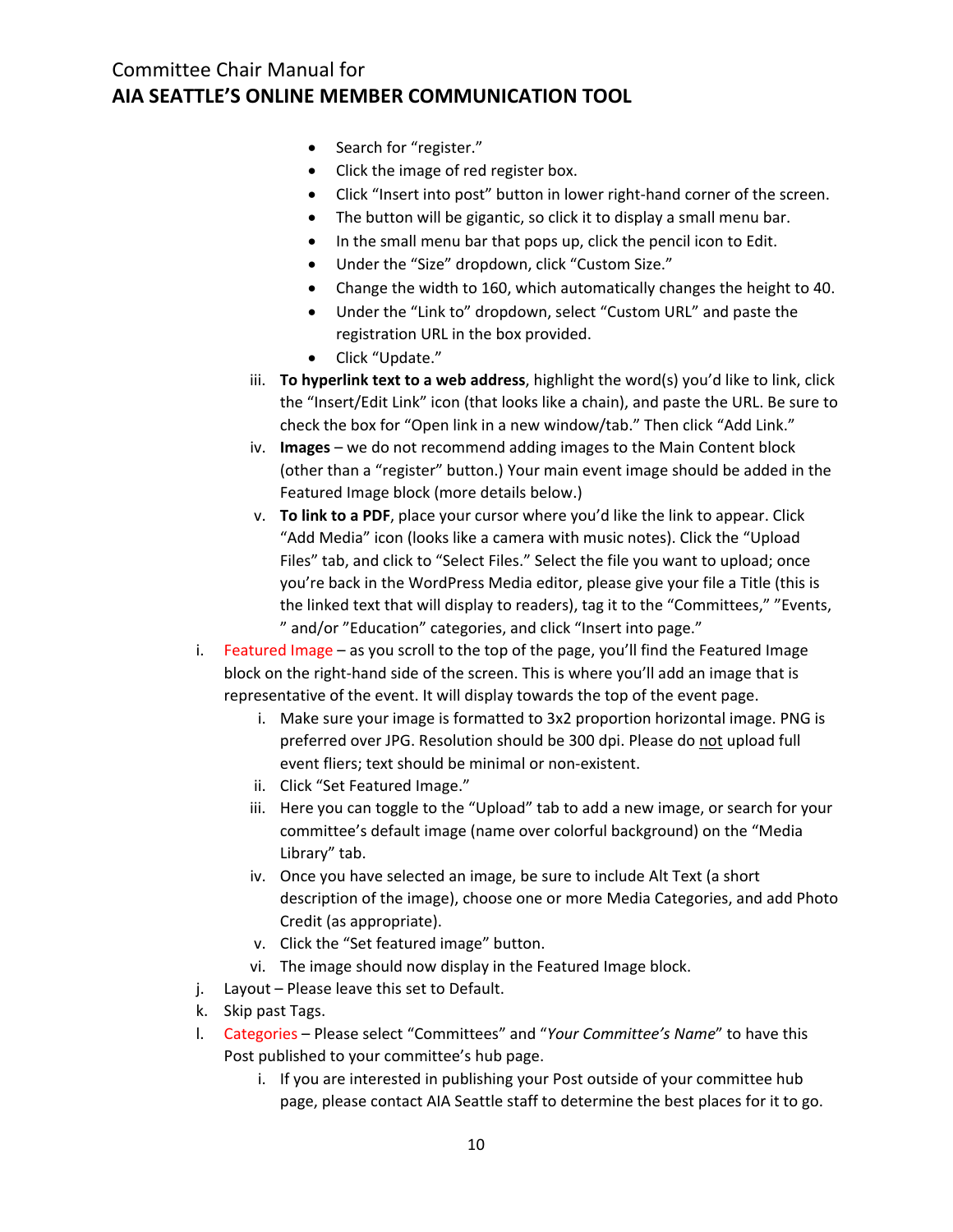- Search for "register."
- Click the image of red register box.
- Click "Insert into post" button in lower right‐hand corner of the screen.
- The button will be gigantic, so click it to display a small menu bar.
- In the small menu bar that pops up, click the pencil icon to Edit.
- Under the "Size" dropdown, click "Custom Size."
- Change the width to 160, which automatically changes the height to 40.
- Under the "Link to" dropdown, select "Custom URL" and paste the registration URL in the box provided.
- Click "Update."
- iii. **To hyperlink text to a web address**, highlight the word(s) you'd like to link, click the "Insert/Edit Link" icon (that looks like a chain), and paste the URL. Be sure to check the box for "Open link in a new window/tab." Then click "Add Link."
- iv. **Images** we do not recommend adding images to the Main Content block (other than a "register" button.) Your main event image should be added in the Featured Image block (more details below.)
- v. **To link to a PDF**, place your cursor where you'd like the link to appear. Click "Add Media" icon (looks like a camera with music notes). Click the "Upload Files" tab, and click to "Select Files." Select the file you want to upload; once you're back in the WordPress Media editor, please give your file a Title (this is the linked text that will display to readers), tag it to the "Committees," "Events, " and/or "Education" categories, and click "Insert into page."
- i. Featured Image as you scroll to the top of the page, you'll find the Featured Image block on the right‐hand side of the screen. This is where you'll add an image that is representative of the event. It will display towards the top of the event page.
	- i. Make sure your image is formatted to 3x2 proportion horizontal image. PNG is preferred over JPG. Resolution should be 300 dpi. Please do not upload full event fliers; text should be minimal or non‐existent.
	- ii. Click "Set Featured Image."
	- iii. Here you can toggle to the "Upload" tab to add a new image, or search for your committee's default image (name over colorful background) on the "Media Library" tab.
	- iv. Once you have selected an image, be sure to include Alt Text (a short description of the image), choose one or more Media Categories, and add Photo Credit (as appropriate).
	- v. Click the "Set featured image" button.
	- vi. The image should now display in the Featured Image block.
- j. Layout Please leave this set to Default.
- k. Skip past Tags.
- l. Categories Please select "Committees" and "*Your Committee's Name*" to have this Post published to your committee's hub page.
	- i. If you are interested in publishing your Post outside of your committee hub page, please contact AIA Seattle staff to determine the best places for it to go.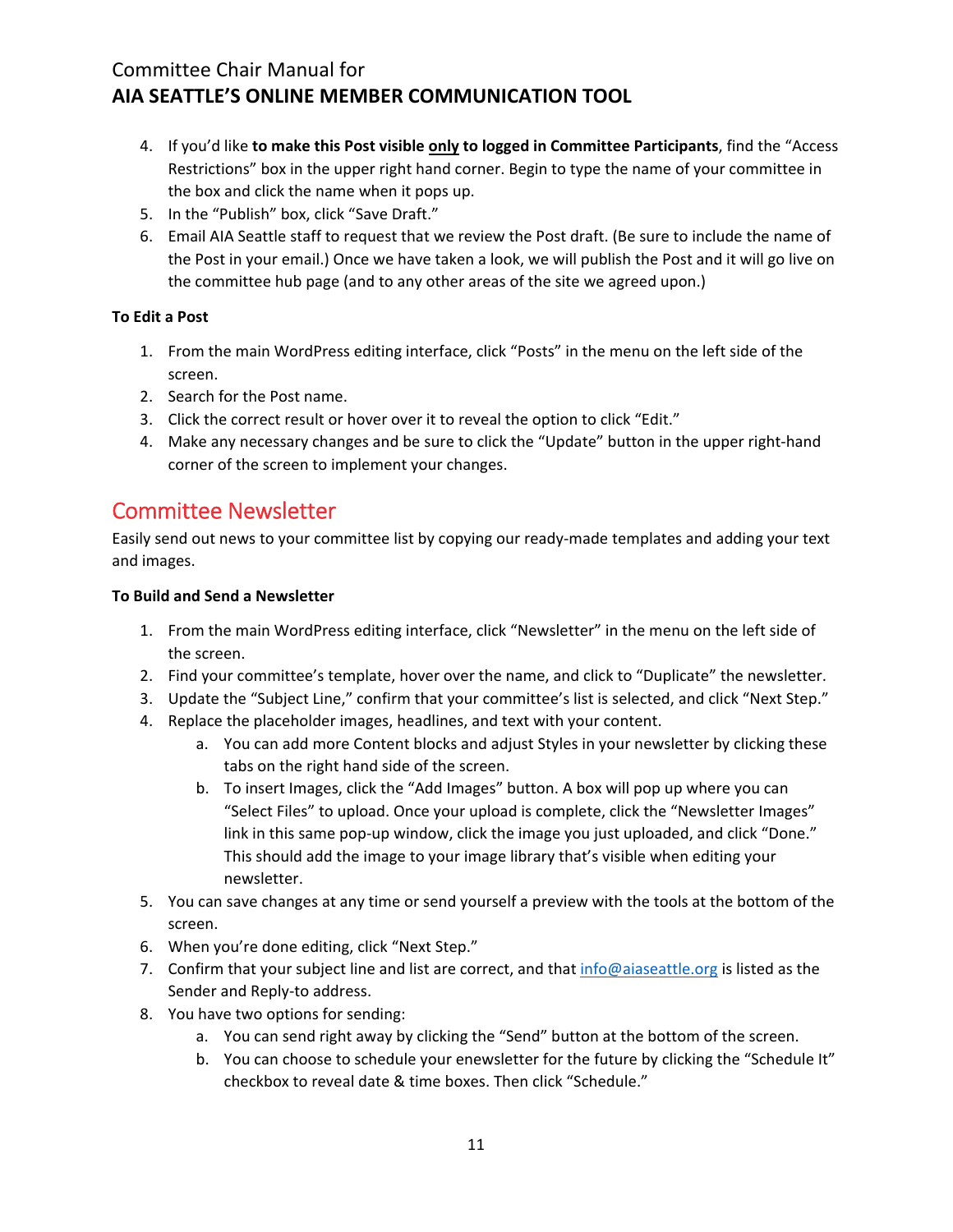- 4. If you'd like **to make this Post visible only to logged in Committee Participants**, find the "Access Restrictions" box in the upper right hand corner. Begin to type the name of your committee in the box and click the name when it pops up.
- 5. In the "Publish" box, click "Save Draft."
- 6. Email AIA Seattle staff to request that we review the Post draft. (Be sure to include the name of the Post in your email.) Once we have taken a look, we will publish the Post and it will go live on the committee hub page (and to any other areas of the site we agreed upon.)

### **To Edit a Post**

- 1. From the main WordPress editing interface, click "Posts" in the menu on the left side of the screen.
- 2. Search for the Post name.
- 3. Click the correct result or hover over it to reveal the option to click "Edit."
- 4. Make any necessary changes and be sure to click the "Update" button in the upper right-hand corner of the screen to implement your changes.

## Committee Newsletter

Easily send out news to your committee list by copying our ready‐made templates and adding your text and images.

#### **To Build and Send a Newsletter**

- 1. From the main WordPress editing interface, click "Newsletter" in the menu on the left side of the screen.
- 2. Find your committee's template, hover over the name, and click to "Duplicate" the newsletter.
- 3. Update the "Subject Line," confirm that your committee's list is selected, and click "Next Step."
- 4. Replace the placeholder images, headlines, and text with your content.
	- a. You can add more Content blocks and adjust Styles in your newsletter by clicking these tabs on the right hand side of the screen.
	- b. To insert Images, click the "Add Images" button. A box will pop up where you can "Select Files" to upload. Once your upload is complete, click the "Newsletter Images" link in this same pop-up window, click the image you just uploaded, and click "Done." This should add the image to your image library that's visible when editing your newsletter.
- 5. You can save changes at any time or send yourself a preview with the tools at the bottom of the screen.
- 6. When you're done editing, click "Next Step."
- 7. Confirm that your subject line and list are correct, and that info@aiaseattle.org is listed as the Sender and Reply‐to address.
- 8. You have two options for sending:
	- a. You can send right away by clicking the "Send" button at the bottom of the screen.
	- b. You can choose to schedule your enewsletter for the future by clicking the "Schedule It" checkbox to reveal date & time boxes. Then click "Schedule."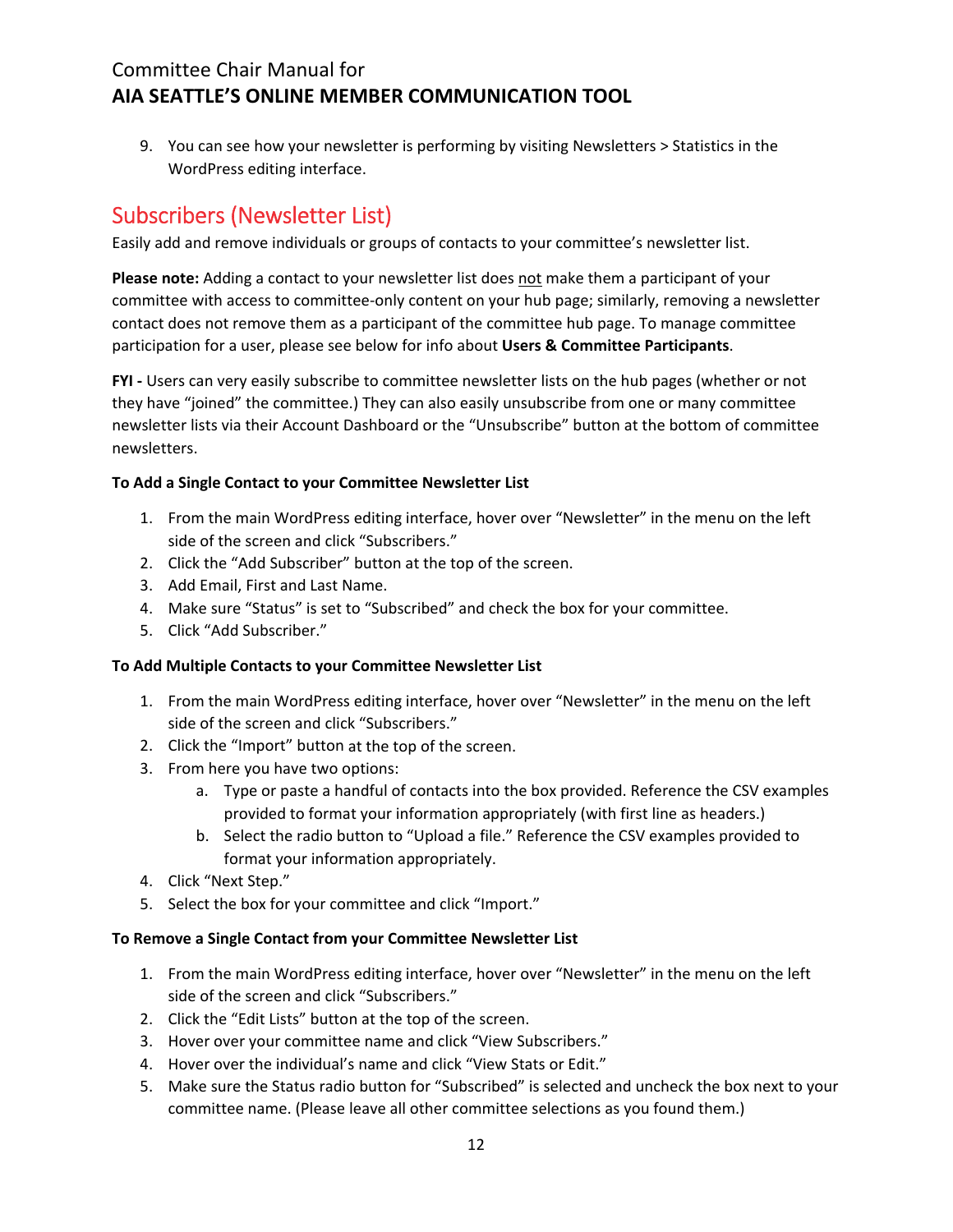9. You can see how your newsletter is performing by visiting Newsletters > Statistics in the WordPress editing interface.

# Subscribers (Newsletter List)

Easily add and remove individuals or groups of contacts to your committee's newsletter list.

**Please note:** Adding a contact to your newsletter list does not make them a participant of your committee with access to committee‐only content on your hub page; similarly, removing a newsletter contact does not remove them as a participant of the committee hub page. To manage committee participation for a user, please see below for info about **Users & Committee Participants**.

**FYI** - Users can very easily subscribe to committee newsletter lists on the hub pages (whether or not they have "joined" the committee.) They can also easily unsubscribe from one or many committee newsletter lists via their Account Dashboard or the "Unsubscribe" button at the bottom of committee newsletters.

#### **To Add a Single Contact to your Committee Newsletter List**

- 1. From the main WordPress editing interface, hover over "Newsletter" in the menu on the left side of the screen and click "Subscribers."
- 2. Click the "Add Subscriber" button at the top of the screen.
- 3. Add Email, First and Last Name.
- 4. Make sure "Status" is set to "Subscribed" and check the box for your committee.
- 5. Click "Add Subscriber."

#### **To Add Multiple Contacts to your Committee Newsletter List**

- 1. From the main WordPress editing interface, hover over "Newsletter" in the menu on the left side of the screen and click "Subscribers."
- 2. Click the "Import" button at the top of the screen.
- 3. From here you have two options:
	- a. Type or paste a handful of contacts into the box provided. Reference the CSV examples provided to format your information appropriately (with first line as headers.)
	- b. Select the radio button to "Upload a file." Reference the CSV examples provided to format your information appropriately.
- 4. Click "Next Step."
- 5. Select the box for your committee and click "Import."

#### **To Remove a Single Contact from your Committee Newsletter List**

- 1. From the main WordPress editing interface, hover over "Newsletter" in the menu on the left side of the screen and click "Subscribers."
- 2. Click the "Edit Lists" button at the top of the screen.
- 3. Hover over your committee name and click "View Subscribers."
- 4. Hover over the individual's name and click "View Stats or Edit."
- 5. Make sure the Status radio button for "Subscribed" is selected and uncheck the box next to your committee name. (Please leave all other committee selections as you found them.)